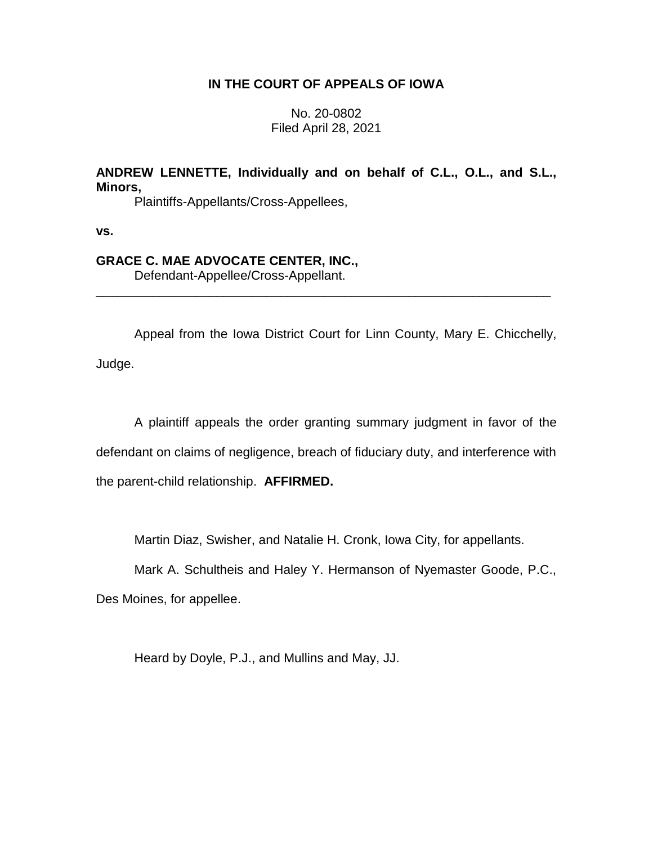# **IN THE COURT OF APPEALS OF IOWA**

No. 20-0802 Filed April 28, 2021

# **ANDREW LENNETTE, Individually and on behalf of C.L., O.L., and S.L., Minors,**

Plaintiffs-Appellants/Cross-Appellees,

**vs.**

# **GRACE C. MAE ADVOCATE CENTER, INC.,**

Defendant-Appellee/Cross-Appellant.

Appeal from the Iowa District Court for Linn County, Mary E. Chicchelly, Judge.

\_\_\_\_\_\_\_\_\_\_\_\_\_\_\_\_\_\_\_\_\_\_\_\_\_\_\_\_\_\_\_\_\_\_\_\_\_\_\_\_\_\_\_\_\_\_\_\_\_\_\_\_\_\_\_\_\_\_\_\_\_\_\_\_

A plaintiff appeals the order granting summary judgment in favor of the defendant on claims of negligence, breach of fiduciary duty, and interference with the parent-child relationship. **AFFIRMED.**

Martin Diaz, Swisher, and Natalie H. Cronk, Iowa City, for appellants.

Mark A. Schultheis and Haley Y. Hermanson of Nyemaster Goode, P.C.,

Des Moines, for appellee.

Heard by Doyle, P.J., and Mullins and May, JJ.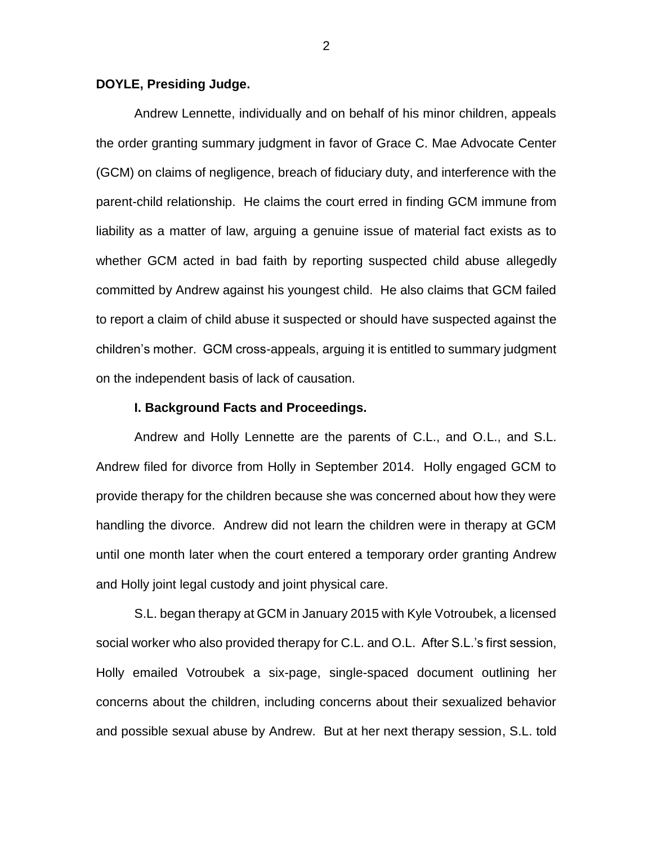## **DOYLE, Presiding Judge.**

Andrew Lennette, individually and on behalf of his minor children, appeals the order granting summary judgment in favor of Grace C. Mae Advocate Center (GCM) on claims of negligence, breach of fiduciary duty, and interference with the parent-child relationship. He claims the court erred in finding GCM immune from liability as a matter of law, arguing a genuine issue of material fact exists as to whether GCM acted in bad faith by reporting suspected child abuse allegedly committed by Andrew against his youngest child. He also claims that GCM failed to report a claim of child abuse it suspected or should have suspected against the children's mother. GCM cross-appeals, arguing it is entitled to summary judgment on the independent basis of lack of causation.

## **I. Background Facts and Proceedings.**

Andrew and Holly Lennette are the parents of C.L., and O.L., and S.L. Andrew filed for divorce from Holly in September 2014. Holly engaged GCM to provide therapy for the children because she was concerned about how they were handling the divorce. Andrew did not learn the children were in therapy at GCM until one month later when the court entered a temporary order granting Andrew and Holly joint legal custody and joint physical care.

S.L. began therapy at GCM in January 2015 with Kyle Votroubek, a licensed social worker who also provided therapy for C.L. and O.L. After S.L.'s first session, Holly emailed Votroubek a six-page, single-spaced document outlining her concerns about the children, including concerns about their sexualized behavior and possible sexual abuse by Andrew. But at her next therapy session, S.L. told

2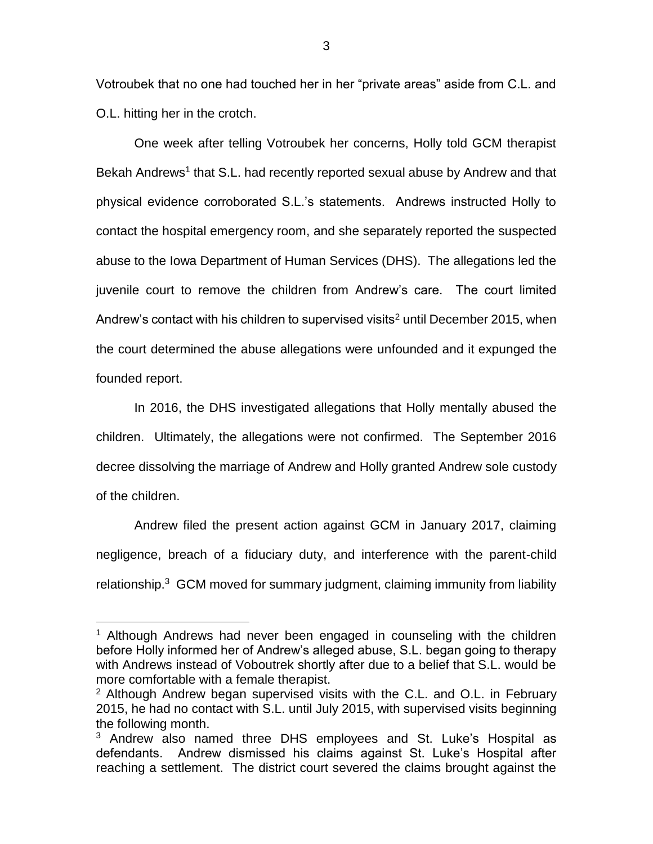Votroubek that no one had touched her in her "private areas" aside from C.L. and O.L. hitting her in the crotch.

One week after telling Votroubek her concerns, Holly told GCM therapist Bekah Andrews<sup>1</sup> that S.L. had recently reported sexual abuse by Andrew and that physical evidence corroborated S.L.'s statements. Andrews instructed Holly to contact the hospital emergency room, and she separately reported the suspected abuse to the Iowa Department of Human Services (DHS). The allegations led the juvenile court to remove the children from Andrew's care. The court limited Andrew's contact with his children to supervised visits<sup>2</sup> until December 2015, when the court determined the abuse allegations were unfounded and it expunged the founded report.

In 2016, the DHS investigated allegations that Holly mentally abused the children. Ultimately, the allegations were not confirmed. The September 2016 decree dissolving the marriage of Andrew and Holly granted Andrew sole custody of the children.

Andrew filed the present action against GCM in January 2017, claiming negligence, breach of a fiduciary duty, and interference with the parent-child relationship.<sup>3</sup> GCM moved for summary judgment, claiming immunity from liability

<sup>&</sup>lt;sup>1</sup> Although Andrews had never been engaged in counseling with the children before Holly informed her of Andrew's alleged abuse, S.L. began going to therapy with Andrews instead of Voboutrek shortly after due to a belief that S.L. would be more comfortable with a female therapist.

<sup>2</sup> Although Andrew began supervised visits with the C.L. and O.L. in February 2015, he had no contact with S.L. until July 2015, with supervised visits beginning the following month.

 $3$  Andrew also named three DHS employees and St. Luke's Hospital as defendants. Andrew dismissed his claims against St. Luke's Hospital after reaching a settlement. The district court severed the claims brought against the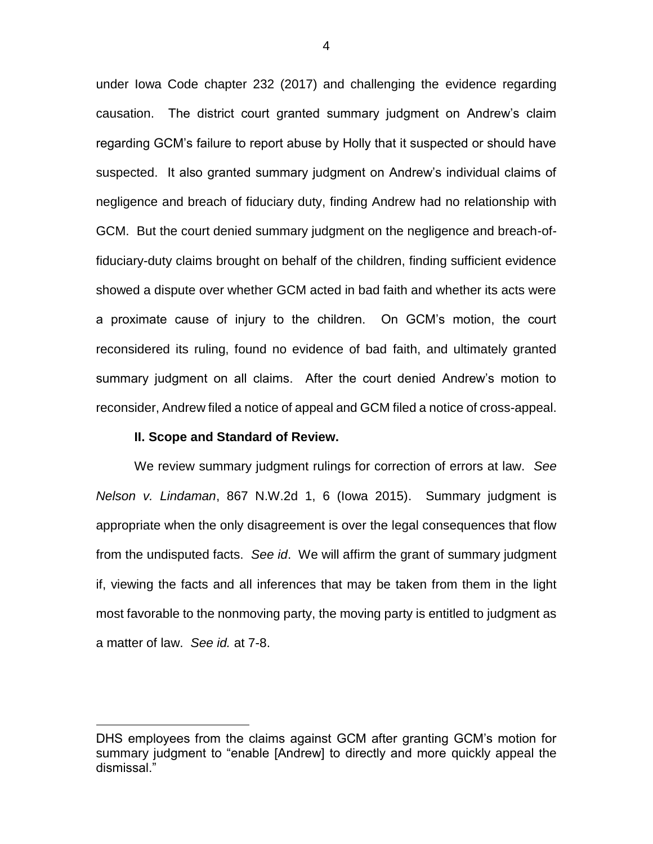under Iowa Code chapter 232 (2017) and challenging the evidence regarding causation. The district court granted summary judgment on Andrew's claim regarding GCM's failure to report abuse by Holly that it suspected or should have suspected. It also granted summary judgment on Andrew's individual claims of negligence and breach of fiduciary duty, finding Andrew had no relationship with GCM. But the court denied summary judgment on the negligence and breach-offiduciary-duty claims brought on behalf of the children, finding sufficient evidence showed a dispute over whether GCM acted in bad faith and whether its acts were a proximate cause of injury to the children. On GCM's motion, the court reconsidered its ruling, found no evidence of bad faith, and ultimately granted summary judgment on all claims. After the court denied Andrew's motion to reconsider, Andrew filed a notice of appeal and GCM filed a notice of cross-appeal.

#### **II. Scope and Standard of Review.**

 $\overline{a}$ 

We review summary judgment rulings for correction of errors at law. *See Nelson v. Lindaman*, 867 N.W.2d 1, 6 (Iowa 2015). Summary judgment is appropriate when the only disagreement is over the legal consequences that flow from the undisputed facts. *See id*. We will affirm the grant of summary judgment if, viewing the facts and all inferences that may be taken from them in the light most favorable to the nonmoving party, the moving party is entitled to judgment as a matter of law. *See id.* at 7-8.

DHS employees from the claims against GCM after granting GCM's motion for summary judgment to "enable [Andrew] to directly and more quickly appeal the dismissal."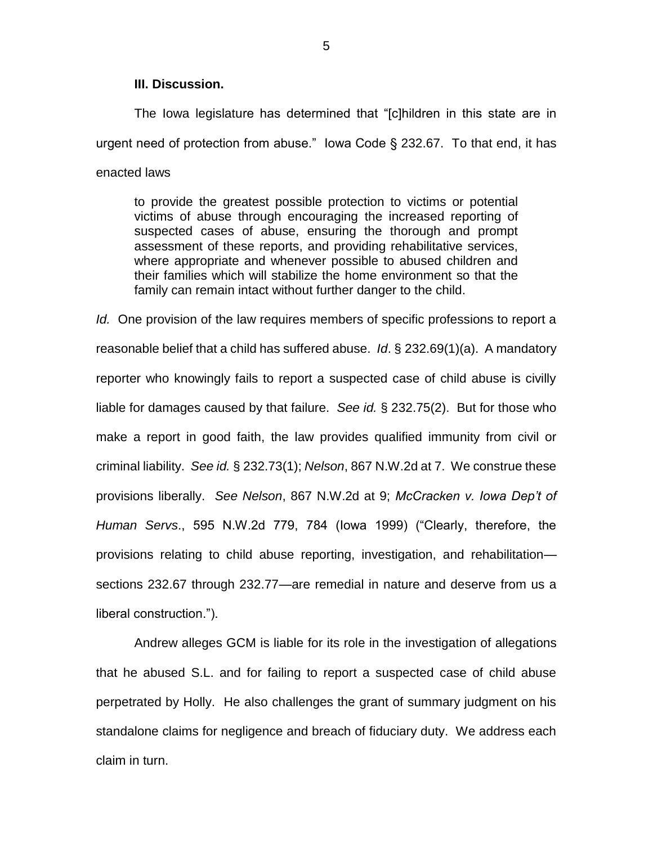# **III. Discussion.**

The Iowa legislature has determined that "[c]hildren in this state are in urgent need of protection from abuse." Iowa Code § 232.67. To that end, it has enacted laws

to provide the greatest possible protection to victims or potential victims of abuse through encouraging the increased reporting of suspected cases of abuse, ensuring the thorough and prompt assessment of these reports, and providing rehabilitative services, where appropriate and whenever possible to abused children and their families which will stabilize the home environment so that the family can remain intact without further danger to the child.

*Id.* One provision of the law requires members of specific professions to report a reasonable belief that a child has suffered abuse. *Id*. § 232.69(1)(a). A mandatory reporter who knowingly fails to report a suspected case of child abuse is civilly liable for damages caused by that failure. *See id.* § 232.75(2). But for those who make a report in good faith, the law provides qualified immunity from civil or criminal liability. *See id.* § 232.73(1); *Nelson*, 867 N.W.2d at 7. We construe these provisions liberally. *See Nelson*, 867 N.W.2d at 9; *McCracken v. Iowa Dep't of Human Servs*., 595 N.W.2d 779, 784 (Iowa 1999) ("Clearly, therefore, the provisions relating to child abuse reporting, investigation, and rehabilitation sections 232.67 through 232.77—are remedial in nature and deserve from us a liberal construction.").

Andrew alleges GCM is liable for its role in the investigation of allegations that he abused S.L. and for failing to report a suspected case of child abuse perpetrated by Holly. He also challenges the grant of summary judgment on his standalone claims for negligence and breach of fiduciary duty. We address each claim in turn.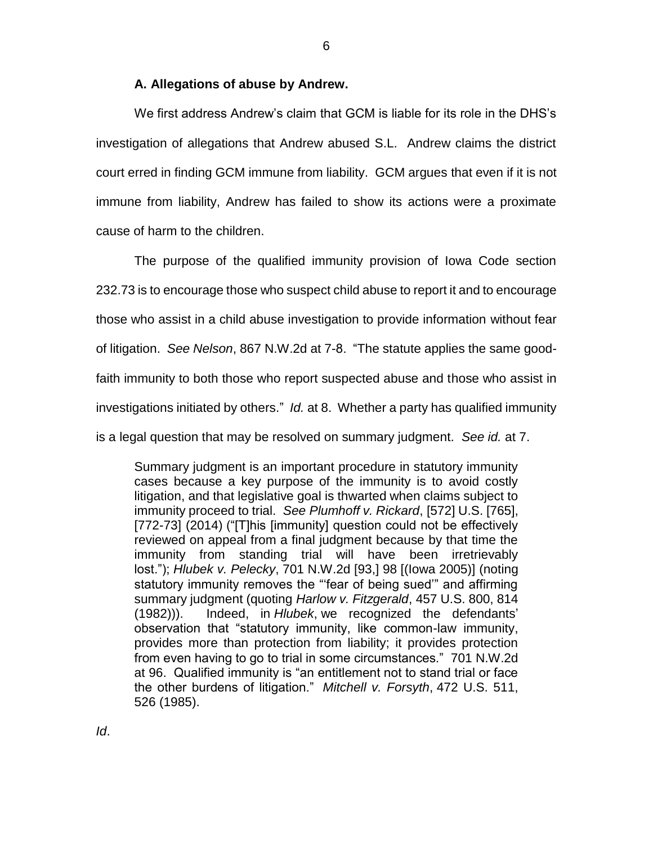## **A. Allegations of abuse by Andrew.**

We first address Andrew's claim that GCM is liable for its role in the DHS's investigation of allegations that Andrew abused S.L. Andrew claims the district court erred in finding GCM immune from liability. GCM argues that even if it is not immune from liability, Andrew has failed to show its actions were a proximate cause of harm to the children.

The purpose of the qualified immunity provision of Iowa Code section 232.73 is to encourage those who suspect child abuse to report it and to encourage those who assist in a child abuse investigation to provide information without fear of litigation. *See Nelson*, 867 N.W.2d at 7-8. "The statute applies the same goodfaith immunity to both those who report suspected abuse and those who assist in investigations initiated by others." *Id.* at 8. Whether a party has qualified immunity is a legal question that may be resolved on summary judgment. *See id.* at 7.

Summary judgment is an important procedure in statutory immunity cases because a key purpose of the immunity is to avoid costly litigation, and that legislative goal is thwarted when claims subject to immunity proceed to trial. *See Plumhoff v. Rickard*, [572] U.S. [765], [772-73] (2014) ("[T]his [immunity] question could not be effectively reviewed on appeal from a final judgment because by that time the immunity from standing trial will have been irretrievably lost."); *Hlubek v. Pelecky*, 701 N.W.2d [93,] 98 [(Iowa 2005)] (noting statutory immunity removes the "'fear of being sued'" and affirming summary judgment (quoting *Harlow v. Fitzgerald*, 457 U.S. 800, 814 (1982))). Indeed, in *Hlubek*, we recognized the defendants' observation that "statutory immunity, like common-law immunity, provides more than protection from liability; it provides protection from even having to go to trial in some circumstances." 701 N.W.2d at 96. Qualified immunity is "an entitlement not to stand trial or face the other burdens of litigation." *Mitchell v. Forsyth*, 472 U.S. 511, 526 (1985).

6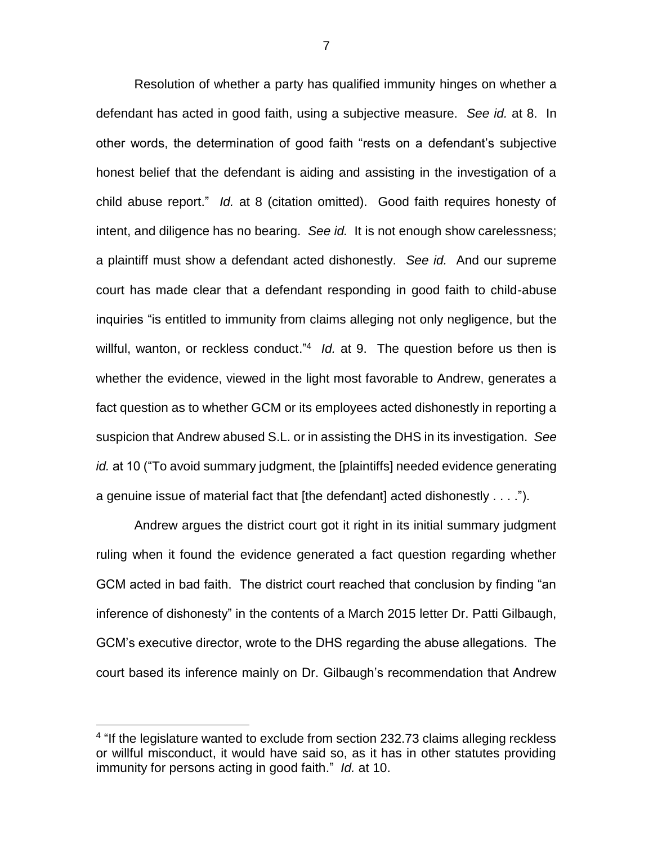Resolution of whether a party has qualified immunity hinges on whether a defendant has acted in good faith, using a subjective measure. *See id.* at 8. In other words, the determination of good faith "rests on a defendant's subjective honest belief that the defendant is aiding and assisting in the investigation of a child abuse report." *Id.* at 8 (citation omitted). Good faith requires honesty of intent, and diligence has no bearing. *See id.* It is not enough show carelessness; a plaintiff must show a defendant acted dishonestly. *See id.* And our supreme court has made clear that a defendant responding in good faith to child-abuse inquiries "is entitled to immunity from claims alleging not only negligence, but the willful, wanton, or reckless conduct.<sup>"4</sup> *ld.* at 9. The question before us then is whether the evidence, viewed in the light most favorable to Andrew, generates a fact question as to whether GCM or its employees acted dishonestly in reporting a suspicion that Andrew abused S.L. or in assisting the DHS in its investigation. *See id.* at 10 ("To avoid summary judgment, the [plaintiffs] needed evidence generating a genuine issue of material fact that [the defendant] acted dishonestly . . . .").

Andrew argues the district court got it right in its initial summary judgment ruling when it found the evidence generated a fact question regarding whether GCM acted in bad faith. The district court reached that conclusion by finding "an inference of dishonesty" in the contents of a March 2015 letter Dr. Patti Gilbaugh, GCM's executive director, wrote to the DHS regarding the abuse allegations. The court based its inference mainly on Dr. Gilbaugh's recommendation that Andrew

<sup>&</sup>lt;sup>4</sup> "If the legislature wanted to exclude from section 232.73 claims alleging reckless or willful misconduct, it would have said so, as it has in other statutes providing immunity for persons acting in good faith." *Id.* at 10.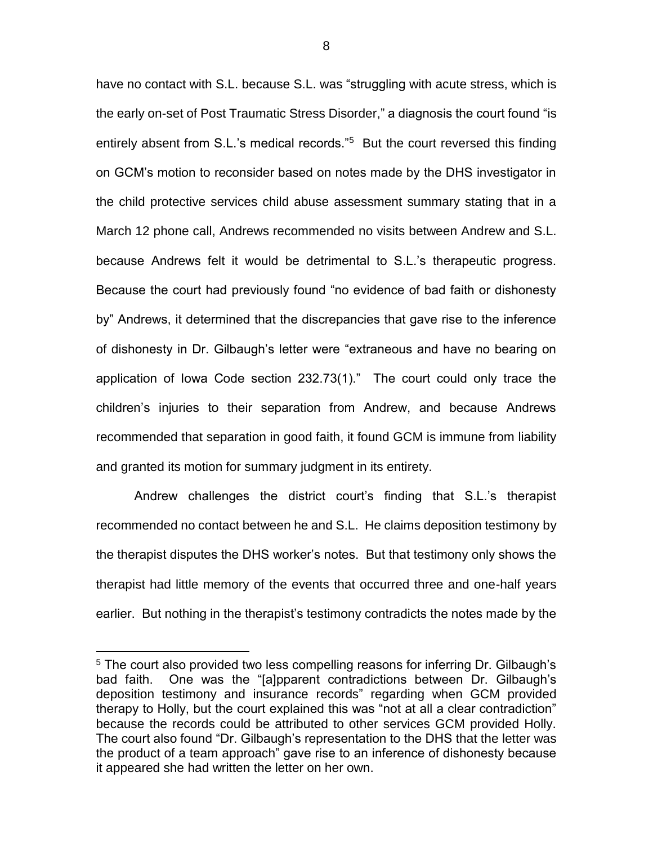have no contact with S.L. because S.L. was "struggling with acute stress, which is the early on-set of Post Traumatic Stress Disorder," a diagnosis the court found "is entirely absent from S.L.'s medical records."<sup>5</sup> But the court reversed this finding on GCM's motion to reconsider based on notes made by the DHS investigator in the child protective services child abuse assessment summary stating that in a March 12 phone call, Andrews recommended no visits between Andrew and S.L. because Andrews felt it would be detrimental to S.L.'s therapeutic progress. Because the court had previously found "no evidence of bad faith or dishonesty by" Andrews, it determined that the discrepancies that gave rise to the inference of dishonesty in Dr. Gilbaugh's letter were "extraneous and have no bearing on application of Iowa Code section 232.73(1)." The court could only trace the children's injuries to their separation from Andrew, and because Andrews recommended that separation in good faith, it found GCM is immune from liability and granted its motion for summary judgment in its entirety.

Andrew challenges the district court's finding that S.L.'s therapist recommended no contact between he and S.L. He claims deposition testimony by the therapist disputes the DHS worker's notes. But that testimony only shows the therapist had little memory of the events that occurred three and one-half years earlier. But nothing in the therapist's testimony contradicts the notes made by the

<sup>&</sup>lt;sup>5</sup> The court also provided two less compelling reasons for inferring Dr. Gilbaugh's bad faith. One was the "[a]pparent contradictions between Dr. Gilbaugh's deposition testimony and insurance records" regarding when GCM provided therapy to Holly, but the court explained this was "not at all a clear contradiction" because the records could be attributed to other services GCM provided Holly. The court also found "Dr. Gilbaugh's representation to the DHS that the letter was the product of a team approach" gave rise to an inference of dishonesty because it appeared she had written the letter on her own.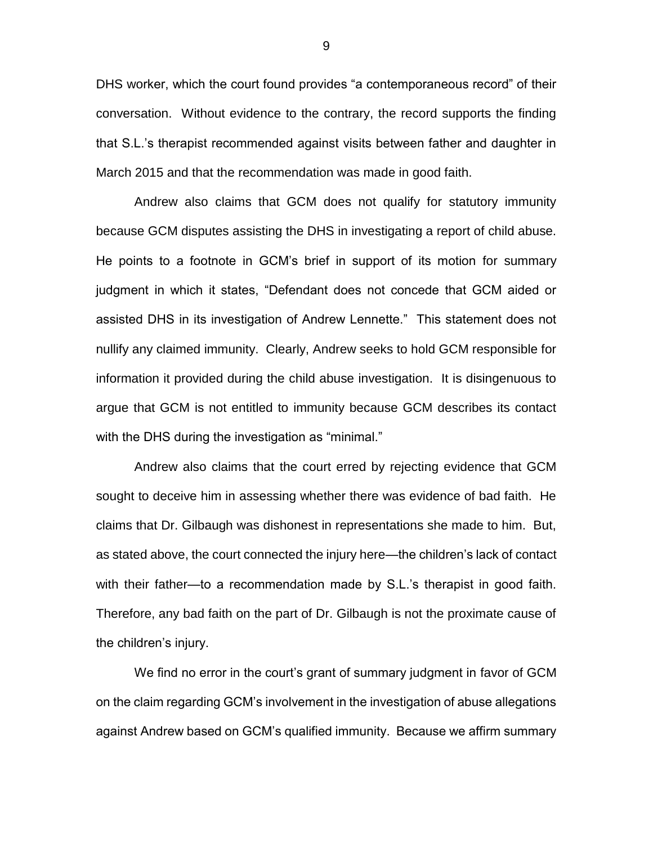DHS worker, which the court found provides "a contemporaneous record" of their conversation. Without evidence to the contrary, the record supports the finding that S.L.'s therapist recommended against visits between father and daughter in March 2015 and that the recommendation was made in good faith.

Andrew also claims that GCM does not qualify for statutory immunity because GCM disputes assisting the DHS in investigating a report of child abuse. He points to a footnote in GCM's brief in support of its motion for summary judgment in which it states, "Defendant does not concede that GCM aided or assisted DHS in its investigation of Andrew Lennette." This statement does not nullify any claimed immunity. Clearly, Andrew seeks to hold GCM responsible for information it provided during the child abuse investigation. It is disingenuous to argue that GCM is not entitled to immunity because GCM describes its contact with the DHS during the investigation as "minimal."

Andrew also claims that the court erred by rejecting evidence that GCM sought to deceive him in assessing whether there was evidence of bad faith. He claims that Dr. Gilbaugh was dishonest in representations she made to him. But, as stated above, the court connected the injury here—the children's lack of contact with their father—to a recommendation made by S.L.'s therapist in good faith. Therefore, any bad faith on the part of Dr. Gilbaugh is not the proximate cause of the children's injury.

We find no error in the court's grant of summary judgment in favor of GCM on the claim regarding GCM's involvement in the investigation of abuse allegations against Andrew based on GCM's qualified immunity. Because we affirm summary

9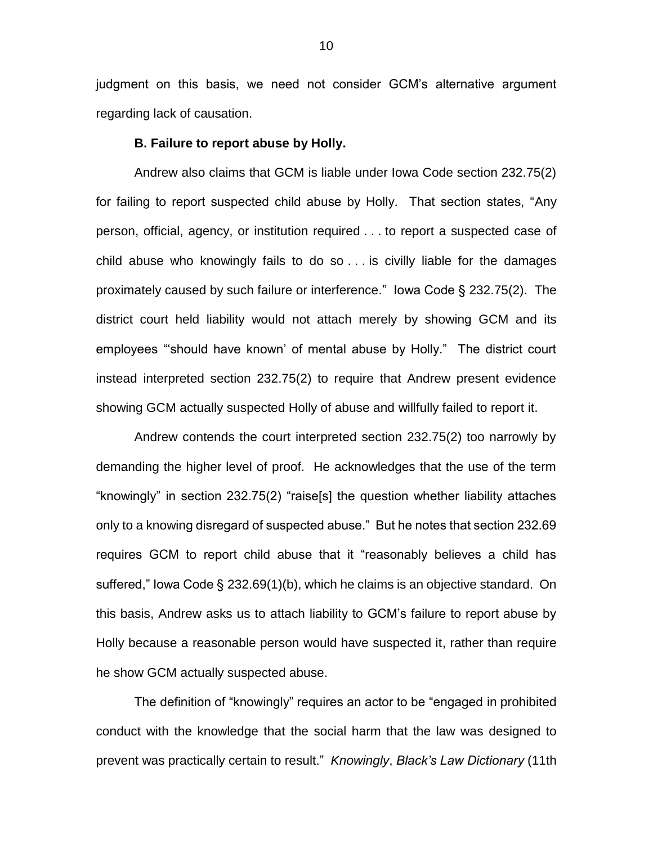judgment on this basis, we need not consider GCM's alternative argument regarding lack of causation.

#### **B. Failure to report abuse by Holly.**

Andrew also claims that GCM is liable under Iowa Code section 232.75(2) for failing to report suspected child abuse by Holly. That section states, "Any person, official, agency, or institution required . . . to report a suspected case of child abuse who knowingly fails to do so . . . is civilly liable for the damages proximately caused by such failure or interference." Iowa Code § 232.75(2). The district court held liability would not attach merely by showing GCM and its employees "'should have known' of mental abuse by Holly." The district court instead interpreted section 232.75(2) to require that Andrew present evidence showing GCM actually suspected Holly of abuse and willfully failed to report it.

Andrew contends the court interpreted section 232.75(2) too narrowly by demanding the higher level of proof. He acknowledges that the use of the term "knowingly" in section 232.75(2) "raise[s] the question whether liability attaches only to a knowing disregard of suspected abuse." But he notes that section 232.69 requires GCM to report child abuse that it "reasonably believes a child has suffered," Iowa Code § 232.69(1)(b), which he claims is an objective standard. On this basis, Andrew asks us to attach liability to GCM's failure to report abuse by Holly because a reasonable person would have suspected it, rather than require he show GCM actually suspected abuse.

The definition of "knowingly" requires an actor to be "engaged in prohibited conduct with the knowledge that the social harm that the law was designed to prevent was practically certain to result." *Knowingly*, *Black's Law Dictionary* (11th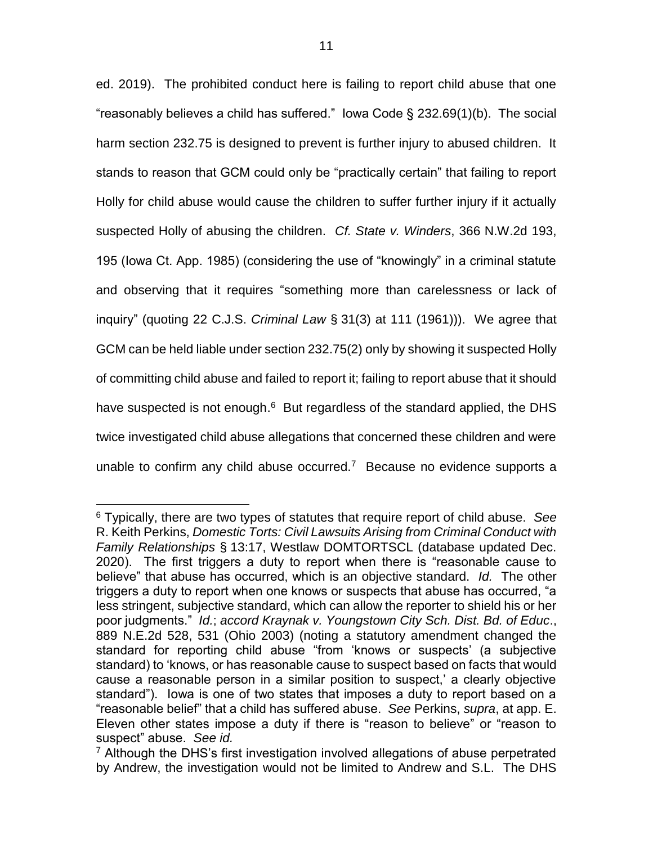ed. 2019). The prohibited conduct here is failing to report child abuse that one "reasonably believes a child has suffered." Iowa Code § 232.69(1)(b). The social harm section 232.75 is designed to prevent is further injury to abused children. It stands to reason that GCM could only be "practically certain" that failing to report Holly for child abuse would cause the children to suffer further injury if it actually suspected Holly of abusing the children. *Cf. State v. Winders*, 366 N.W.2d 193, 195 (Iowa Ct. App. 1985) (considering the use of "knowingly" in a criminal statute and observing that it requires "something more than carelessness or lack of inquiry" (quoting 22 C.J.S. *Criminal Law* § 31(3) at 111 (1961))). We agree that GCM can be held liable under section 232.75(2) only by showing it suspected Holly of committing child abuse and failed to report it; failing to report abuse that it should have suspected is not enough.<sup>6</sup> But regardless of the standard applied, the DHS twice investigated child abuse allegations that concerned these children and were unable to confirm any child abuse occurred.<sup>7</sup> Because no evidence supports a

<sup>6</sup> Typically, there are two types of statutes that require report of child abuse. *See*  R. Keith Perkins, *Domestic Torts: Civil Lawsuits Arising from Criminal Conduct with Family Relationships* § 13:17, Westlaw DOMTORTSCL (database updated Dec. 2020). The first triggers a duty to report when there is "reasonable cause to believe" that abuse has occurred, which is an objective standard. *Id.* The other triggers a duty to report when one knows or suspects that abuse has occurred, "a less stringent, subjective standard, which can allow the reporter to shield his or her poor judgments." *Id.*; *accord Kraynak v. Youngstown City Sch. Dist. Bd. of Educ*., 889 N.E.2d 528, 531 (Ohio 2003) (noting a statutory amendment changed the standard for reporting child abuse "from 'knows or suspects' (a subjective standard) to 'knows, or has reasonable cause to suspect based on facts that would cause a reasonable person in a similar position to suspect,' a clearly objective standard"). Iowa is one of two states that imposes a duty to report based on a "reasonable belief" that a child has suffered abuse. *See* Perkins, *supra*, at app. E. Eleven other states impose a duty if there is "reason to believe" or "reason to suspect" abuse. *See id.*

<sup>&</sup>lt;sup>7</sup> Although the DHS's first investigation involved allegations of abuse perpetrated by Andrew, the investigation would not be limited to Andrew and S.L. The DHS